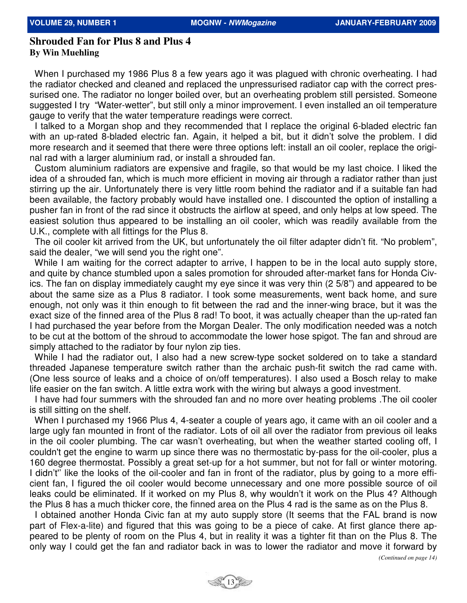## **Shrouded Fan for Plus 8 and Plus 4 By Win Muehling**

When I purchased my 1986 Plus 8 a few years ago it was plagued with chronic overheating. I had the radiator checked and cleaned and replaced the unpressurised radiator cap with the correct pressurised one. The radiator no longer boiled over, but an overheating problem still persisted. Someone suggested I try "Water-wetter", but still only a minor improvement. I even installed an oil temperature gauge to verify that the water temperature readings were correct.

 I talked to a Morgan shop and they recommended that I replace the original 6-bladed electric fan with an up-rated 8-bladed electric fan. Again, it helped a bit, but it didn't solve the problem. I did more research and it seemed that there were three options left: install an oil cooler, replace the original rad with a larger aluminium rad, or install a shrouded fan.

 Custom aluminium radiators are expensive and fragile, so that would be my last choice. I liked the idea of a shrouded fan, which is much more efficient in moving air through a radiator rather than just stirring up the air. Unfortunately there is very little room behind the radiator and if a suitable fan had been available, the factory probably would have installed one. I discounted the option of installing a pusher fan in front of the rad since it obstructs the airflow at speed, and only helps at low speed. The easiest solution thus appeared to be installing an oil cooler, which was readily available from the U.K., complete with all fittings for the Plus 8.

 The oil cooler kit arrived from the UK, but unfortunately the oil filter adapter didn't fit. "No problem", said the dealer, "we will send you the right one".

While I am waiting for the correct adapter to arrive, I happen to be in the local auto supply store, and quite by chance stumbled upon a sales promotion for shrouded after-market fans for Honda Civics. The fan on display immediately caught my eye since it was very thin (2 5/8") and appeared to be about the same size as a Plus 8 radiator. I took some measurements, went back home, and sure enough, not only was it thin enough to fit between the rad and the inner-wing brace, but it was the exact size of the finned area of the Plus 8 rad! To boot, it was actually cheaper than the up-rated fan I had purchased the year before from the Morgan Dealer. The only modification needed was a notch to be cut at the bottom of the shroud to accommodate the lower hose spigot. The fan and shroud are simply attached to the radiator by four nylon zip ties.

While I had the radiator out, I also had a new screw-type socket soldered on to take a standard threaded Japanese temperature switch rather than the archaic push-fit switch the rad came with. (One less source of leaks and a choice of on/off temperatures). I also used a Bosch relay to make life easier on the fan switch. A little extra work with the wiring but always a good investment.

 I have had four summers with the shrouded fan and no more over heating problems .The oil cooler is still sitting on the shelf.

 When I purchased my 1966 Plus 4, 4-seater a couple of years ago, it came with an oil cooler and a large ugly fan mounted in front of the radiator. Lots of oil all over the radiator from previous oil leaks in the oil cooler plumbing. The car wasn't overheating, but when the weather started cooling off, I couldn't get the engine to warm up since there was no thermostatic by-pass for the oil-cooler, plus a 160 degree thermostat. Possibly a great set-up for a hot summer, but not for fall or winter motoring. I didn't'' like the looks of the oil-cooler and fan in front of the radiator, plus by going to a more efficient fan, I figured the oil cooler would become unnecessary and one more possible source of oil leaks could be eliminated. If it worked on my Plus 8, why wouldn't it work on the Plus 4? Although the Plus 8 has a much thicker core, the finned area on the Plus 4 rad is the same as on the Plus 8.

 I obtained another Honda Civic fan at my auto supply store (It seems that the FAL brand is now part of Flex-a-lite) and figured that this was going to be a piece of cake. At first glance there appeared to be plenty of room on the Plus 4, but in reality it was a tighter fit than on the Plus 8. The only way I could get the fan and radiator back in was to lower the radiator and move it forward by